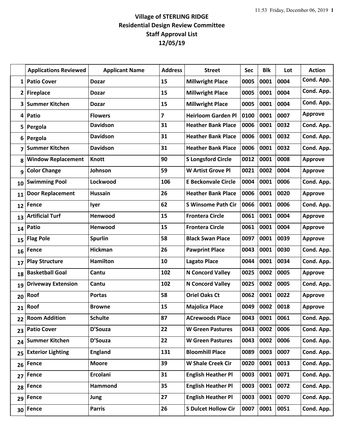## **Village of STERLING RIDGE Residential Design Review Committee Staff Approval List 12/05/19**

|              | <b>Applications Reviewed</b> | <b>Applicant Name</b> | <b>Address</b> | <b>Street</b>              | <b>Sec</b> | <b>Blk</b> | Lot  | <b>Action</b>  |
|--------------|------------------------------|-----------------------|----------------|----------------------------|------------|------------|------|----------------|
| $\mathbf{1}$ | <b>Patio Cover</b>           | <b>Dozar</b>          | 15             | <b>Millwright Place</b>    | 0005       | 0001       | 0004 | Cond. App.     |
| $\mathbf{2}$ | <b>Fireplace</b>             | <b>Dozar</b>          | 15             | <b>Millwright Place</b>    | 0005       | 0001       | 0004 | Cond. App.     |
| 3            | <b>Summer Kitchen</b>        | <b>Dozar</b>          | 15             | <b>Millwright Place</b>    | 0005       | 0001       | 0004 | Cond. App.     |
| 4            | Patio                        | <b>Flowers</b>        | $\overline{7}$ | <b>Heirloom Garden Pl</b>  | 0100       | 0001       | 0007 | <b>Approve</b> |
| 5            | Pergola                      | <b>Davidson</b>       | 31             | <b>Heather Bank Place</b>  | 0006       | 0001       | 0032 | Cond. App.     |
| 6            | Pergola                      | <b>Davidson</b>       | 31             | <b>Heather Bank Place</b>  | 0006       | 0001       | 0032 | Cond. App.     |
| 7            | <b>Summer Kitchen</b>        | <b>Davidson</b>       | 31             | <b>Heather Bank Place</b>  | 0006       | 0001       | 0032 | Cond. App.     |
| 8            | <b>Window Replacement</b>    | <b>Knott</b>          | 90             | <b>S Longsford Circle</b>  | 0012       | 0001       | 0008 | <b>Approve</b> |
| 9            | <b>Color Change</b>          | Johnson               | 59             | <b>W Artist Grove Pl</b>   | 0021       | 0002       | 0004 | <b>Approve</b> |
| 10           | <b>Swimming Pool</b>         | Lockwood              | 106            | <b>E Beckonvale Circle</b> | 0004       | 0001       | 0006 | Cond. App.     |
| 11           | <b>Door Replacement</b>      | <b>Hussain</b>        | 26             | <b>Heather Bank Place</b>  | 0006       | 0001       | 0020 | <b>Approve</b> |
| 12           | <b>Fence</b>                 | lyer                  | 62             | <b>S Winsome Path Cir</b>  | 0066       | 0001       | 0006 | Cond. App.     |
| 13           | <b>Artificial Turf</b>       | Henwood               | 15             | <b>Frontera Circle</b>     | 0061       | 0001       | 0004 | <b>Approve</b> |
| 14           | Patio                        | Henwood               | 15             | <b>Frontera Circle</b>     | 0061       | 0001       | 0004 | <b>Approve</b> |
| 15           | <b>Flag Pole</b>             | <b>Spurlin</b>        | 58             | <b>Black Swan Place</b>    | 0097       | 0001       | 0039 | <b>Approve</b> |
| 16           | Fence                        | <b>Hickman</b>        | 26             | <b>Pawprint Place</b>      | 0043       | 0001       | 0030 | Cond. App.     |
| 17           | <b>Play Structure</b>        | <b>Hamilton</b>       | 10             | <b>Lagato Place</b>        | 0044       | 0001       | 0034 | Cond. App.     |
| 18           | <b>Basketball Goal</b>       | Cantu                 | 102            | <b>N Concord Valley</b>    | 0025       | 0002       | 0005 | <b>Approve</b> |
| 19           | <b>Driveway Extension</b>    | Cantu                 | 102            | <b>N Concord Valley</b>    | 0025       | 0002       | 0005 | Cond. App.     |
| 20           | Roof                         | <b>Portas</b>         | 58             | <b>Oriel Oaks Ct</b>       | 0062       | 0001       | 0022 | <b>Approve</b> |
| 21           | Roof                         | <b>Browne</b>         | 15             | <b>Majolica Place</b>      | 0049       | 0002       | 0018 | <b>Approve</b> |
| 22           | <b>Room Addition</b>         | <b>Schulte</b>        | 87             | <b>ACrewoods Place</b>     | 0043       | 0001 0061  |      | Cond. App.     |
| 23           | <b>Patio Cover</b>           | D'Souza               | 22             | <b>W</b> Green Pastures    | 0043       | 0002       | 0006 | Cond. App.     |
| 24           | <b>Summer Kitchen</b>        | D'Souza               | 22             | <b>W</b> Green Pastures    | 0043       | 0002       | 0006 | Cond. App.     |
| 25           | <b>Exterior Lighting</b>     | <b>England</b>        | 131            | <b>Bloomhill Place</b>     | 0089       | 0003       | 0007 | Cond. App.     |
| 26           | Fence                        | <b>Moore</b>          | 39             | <b>W Shale Creek Cir</b>   | 0020       | 0001       | 0013 | Cond. App.     |
| 27           | Fence                        | Ercolani              | 31             | <b>English Heather Pl</b>  | 0003       | 0001       | 0071 | Cond. App.     |
| 28           | <b>Fence</b>                 | Hammond               | 35             | <b>English Heather Pl</b>  | 0003       | 0001       | 0072 | Cond. App.     |
| 29           | Fence                        | Jung                  | 27             | <b>English Heather Pl</b>  | 0003       | 0001       | 0070 | Cond. App.     |
| 30           | <b>Fence</b>                 | <b>Parris</b>         | 26             | <b>S Dulcet Hollow Cir</b> | 0007       | 0001       | 0051 | Cond. App.     |